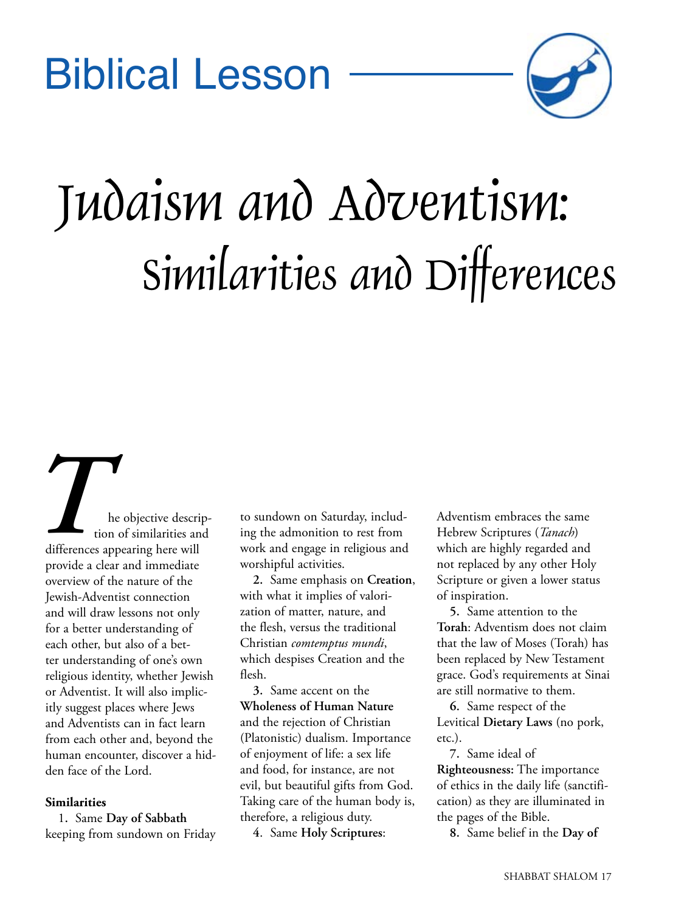## Biblical Lesson



# Judaism and Adventism: Similarities and Differences

he objective description of similarities and differences appearing here will provide a clear and immediate overview of the nature of the Jewish-Adventist connection and will draw lessons not only for a better understanding of each other, but also of a better understanding of one's own religious identity, whether Jewish or Adventist. It will also implicitly suggest places where Jews and Adventists can in fact learn from each other and, beyond the human encounter, discover a hidden face of the Lord. **THE TERN ENTERN ENTERN ENTERN ENTERN ENTERN ENTERN ENTERN ENTERN ENTERN ENTERN ENTERN ENTERN ENTERN ENTERN ENTERN ENTERN ENTERN ENTERN ENTERN ENTERN ENTERN ENTERN ENTERN ENTERN ENTERN ENTERN ENTERN ENTERN ENTERN ENTERN EN** 

#### **Similarities**

1**.** Same **Day of Sabbath** keeping from sundown on Friday ing the admonition to rest from work and engage in religious and worshipful activities.

**2.** Same emphasis on **Creation**, with what it implies of valorization of matter, nature, and the flesh, versus the traditional Christian *comtemptus mundi*, which despises Creation and the flesh.

**3.** Same accent on the **Wholeness of Human Nature** and the rejection of Christian (Platonistic) dualism. Importance of enjoyment of life: a sex life and food, for instance, are not evil, but beautiful gifts from God. Taking care of the human body is, therefore, a religious duty.

**4**. Same **Holy Scriptures**:

Adventism embraces the same Hebrew Scriptures (*Tanach*) which are highly regarded and not replaced by any other Holy Scripture or given a lower status of inspiration.

**5.** Same attention to the **Torah**: Adventism does not claim that the law of Moses (Torah) has been replaced by New Testament grace. God's requirements at Sinai are still normative to them.

**6.** Same respect of the Levitical **Dietary Laws** (no pork, etc.).

**7.** Same ideal of **Righteousness:** The importance of ethics in the daily life (sanctification) as they are illuminated in the pages of the Bible.

**8.** Same belief in the **Day of**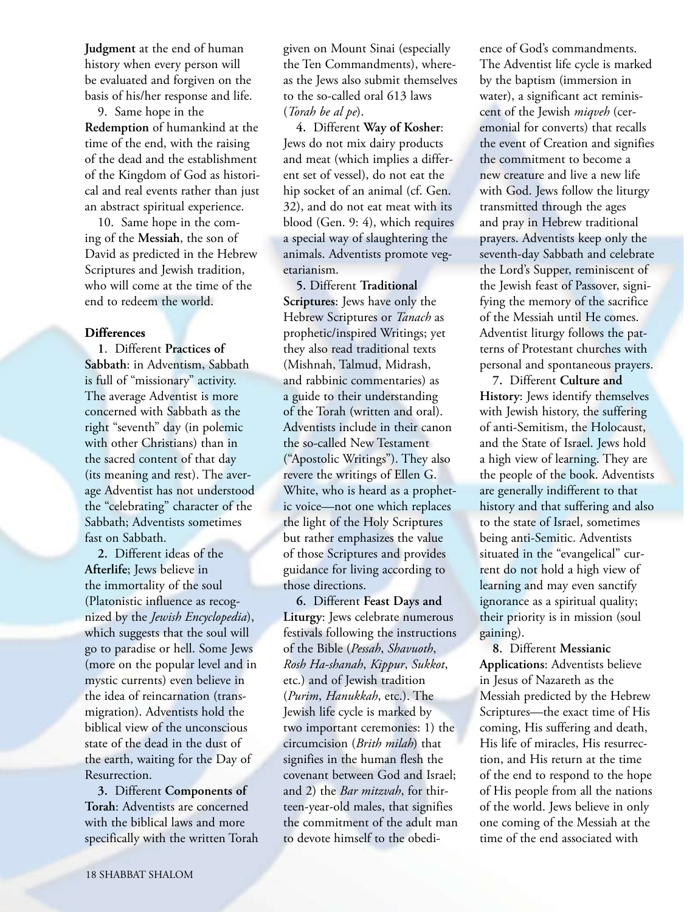**Judgment** at the end of human history when every person will be evaluated and forgiven on the basis of his/her response and life.

9. Same hope in the **Redemption** of humankind at the time of the end, with the raising of the dead and the establishment of the Kingdom of God as historical and real events rather than just an abstract spiritual experience.

10. Same hope in the coming of the **Messiah**, the son of David as predicted in the Hebrew Scriptures and Jewish tradition, who will come at the time of the end to redeem the world.

#### **Differences**

**1**. Different **Practices of Sabbath**: in Adventism, Sabbath is full of "missionary" activity. The average Adventist is more concerned with Sabbath as the right "seventh" day (in polemic with other Christians) than in the sacred content of that day (its meaning and rest). The average Adventist has not understood the "celebrating" character of the Sabbath; Adventists sometimes fast on Sabbath.

**2.** Different ideas of the **Afterlife**; Jews believe in the immortality of the soul (Platonistic influence as recognized by the *Jewish Encyclopedia*), which suggests that the soul will go to paradise or hell. Some Jews (more on the popular level and in mystic currents) even believe in the idea of reincarnation (transmigration). Adventists hold the biblical view of the unconscious state of the dead in the dust of the earth, waiting for the Day of Resurrection.

**3.** Different **Components of Torah**: Adventists are concerned with the biblical laws and more specifically with the written Torah given on Mount Sinai (especially the Ten Commandments), whereas the Jews also submit themselves to the so-called oral 613 laws (*Torah be al pe*).

**4.** Different **Way of Kosher**: Jews do not mix dairy products and meat (which implies a different set of vessel), do not eat the hip socket of an animal (cf. Gen. 32), and do not eat meat with its blood (Gen. 9: 4), which requires a special way of slaughtering the animals. Adventists promote vegetarianism.

**5.** Different **Traditional Scriptures**: Jews have only the Hebrew Scriptures or *Tanach* as prophetic/inspired Writings; yet they also read traditional texts (Mishnah, Talmud, Midrash, and rabbinic commentaries) as a guide to their understanding of the Torah (written and oral). Adventists include in their canon the so-called New Testament ("Apostolic Writings"). They also revere the writings of Ellen G. White, who is heard as a prophetic voice—not one which replaces the light of the Holy Scriptures but rather emphasizes the value of those Scriptures and provides guidance for living according to those directions.

**6.** Different **Feast Days and Liturgy**: Jews celebrate numerous festivals following the instructions of the Bible (*Pessah*, *Shavuoth*, *Rosh Ha-shanah*, *Kippur*, *Sukkot*, etc.) and of Jewish tradition (*Purim*, *Hanukkah*, etc.). The Jewish life cycle is marked by two important ceremonies: 1) the circumcision (*Brith milah*) that signifies in the human flesh the covenant between God and Israel; and 2) the *Bar mitzvah*, for thirteen-year-old males, that signifies the commitment of the adult man to devote himself to the obedience of God's commandments. The Adventist life cycle is marked by the baptism (immersion in water), a significant act reminiscent of the Jewish *miqveh* (ceremonial for converts) that recalls the event of Creation and signifies the commitment to become a new creature and live a new life with God. Jews follow the liturgy transmitted through the ages and pray in Hebrew traditional prayers. Adventists keep only the seventh-day Sabbath and celebrate the Lord's Supper, reminiscent of the Jewish feast of Passover, signifying the memory of the sacrifice of the Messiah until He comes. Adventist liturgy follows the patterns of Protestant churches with personal and spontaneous prayers.

**7.** Different **Culture and History**: Jews identify themselves with Jewish history, the suffering of anti-Semitism, the Holocaust, and the State of Israel. Jews hold a high view of learning. They are the people of the book. Adventists are generally indifferent to that history and that suffering and also to the state of Israel, sometimes being anti-Semitic. Adventists situated in the "evangelical" current do not hold a high view of learning and may even sanctify ignorance as a spiritual quality; their priority is in mission (soul gaining).

**8.** Different **Messianic Applications**: Adventists believe in Jesus of Nazareth as the Messiah predicted by the Hebrew Scriptures—the exact time of His coming, His suffering and death, His life of miracles, His resurrection, and His return at the time of the end to respond to the hope of His people from all the nations of the world. Jews believe in only one coming of the Messiah at the time of the end associated with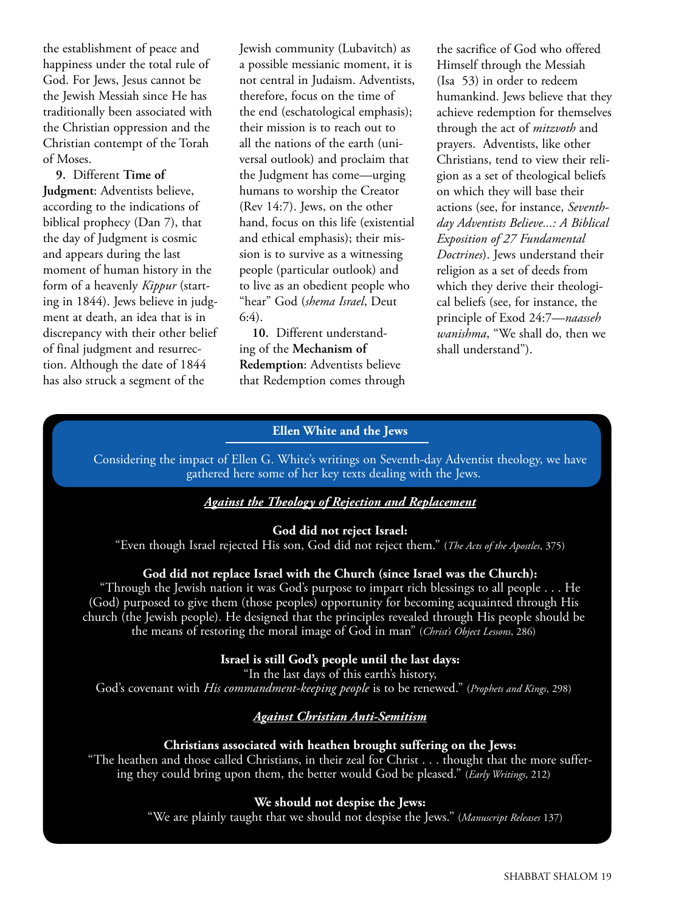the establishment of peace and happiness under the total rule of God. For Jews, Jesus cannot be the Jewish Messiah since He has traditionally been associated with the Christian oppression and the Christian contempt of the Torah of Moses.

**9.** Different **Time of Judgment**: Adventists believe, according to the indications of biblical prophecy (Dan 7), that the day of Judgment is cosmic and appears during the last moment of human history in the form of a heavenly *Kippur* (starting in 1844). Jews believe in judgment at death, an idea that is in discrepancy with their other belief of final judgment and resurrection. Although the date of 1844 has also struck a segment of the

Jewish community (Lubavitch) as a possible messianic moment, it is not central in Judaism. Adventists, therefore, focus on the time of the end (eschatological emphasis); their mission is to reach out to all the nations of the earth (universal outlook) and proclaim that the Judgment has come—urging humans to worship the Creator (Rev 14:7). Jews, on the other hand, focus on this life (existential and ethical emphasis); their mission is to survive as a witnessing people (particular outlook) and to live as an obedient people who "hear" God (*shema Israel*, Deut  $6:4$ ).

**10.** Different understanding of the **Mechanism of Redemption**: Adventists believe that Redemption comes through the sacrifice of God who offered Himself through the Messiah (Isa 53) in order to redeem humankind. Jews believe that they achieve redemption for themselves through the act of *mitzvoth* and prayers. Adventists, like other Christians, tend to view their religion as a set of theological beliefs on which they will base their actions (see, for instance, *Seventhday Adventists Believe...: A Biblical Exposition of 27 Fundamental Doctrines*). Jews understand their religion as a set of deeds from which they derive their theological beliefs (see, for instance, the principle of Exod 24:7—*naasseh wanishma*, "We shall do, then we shall understand").

#### **Ellen White and the Jews**

Considering the impact of Ellen G. White's writings on Seventh-day Adventist theology, we have gathered here some of her key texts dealing with the Jews.

#### *Against the Theology of Rejection and Replacement*

#### **God did not reject Israel:**

"Even though Israel rejected His son, God did not reject them." (*The Acts of the Apostles*, 375)

#### **God did not replace Israel with the Church (since Israel was the Church):**

"Through the Jewish nation it was God's purpose to impart rich blessings to all people . . . He (God) purposed to give them (those peoples) opportunity for becoming acquainted through His church (the Jewish people). He designed that the principles revealed through His people should be the means of restoring the moral image of God in man" (*Christ's Object Lessons*, 286)

#### **Israel is still God's people until the last days:**

"In the last days of this earth's history, God's covenant with *His commandment-keeping people* is to be renewed." (*Prophets and Kings*, 298)

### *Against Christian Anti-Semitism*

#### **Christians associated with heathen brought suffering on the Jews:**

"The heathen and those called Christians, in their zeal for Christ . . . thought that the more suffering they could bring upon them, the better would God be pleased." (*Early Writings*, 212)

#### **We should not despise the Jews:**

"We are plainly taught that we should not despise the Jews." (*Manuscript Releases* 137)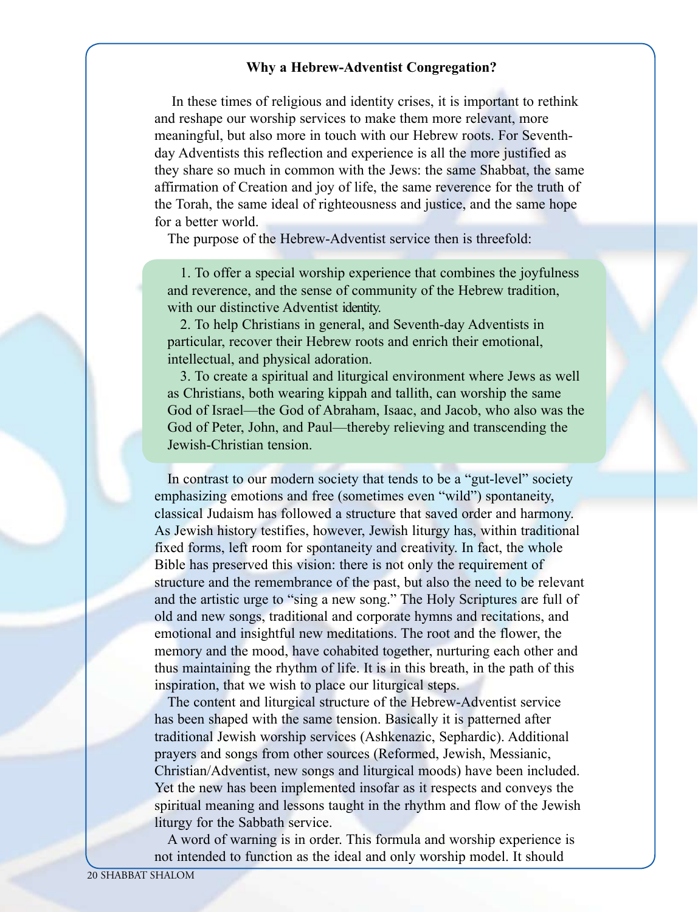#### **Why a Hebrew-Adventist Congregation?**

In these times of religious and identity crises, it is important to rethink and reshape our worship services to make them more relevant, more meaningful, but also more in touch with our Hebrew roots. For Seventhday Adventists this reflection and experience is all the more justified as they share so much in common with the Jews: the same Shabbat, the same affirmation of Creation and joy of life, the same reverence for the truth of the Torah, the same ideal of righteousness and justice, and the same hope for a better world.

The purpose of the Hebrew-Adventist service then is threefold:

1. To offer a special worship experience that combines the joyfulness and reverence, and the sense of community of the Hebrew tradition, with our distinctive Adventist identity.

2. To help Christians in general, and Seventh-day Adventists in particular, recover their Hebrew roots and enrich their emotional, intellectual, and physical adoration.

3. To create a spiritual and liturgical environment where Jews as well as Christians, both wearing kippah and tallith, can worship the same God of Israel—the God of Abraham, Isaac, and Jacob, who also was the God of Peter, John, and Paul—thereby relieving and transcending the Jewish-Christian tension.

In contrast to our modern society that tends to be a "gut-level" society emphasizing emotions and free (sometimes even "wild") spontaneity, classical Judaism has followed a structure that saved order and harmony. As Jewish history testifies, however, Jewish liturgy has, within traditional fixed forms, left room for spontaneity and creativity. In fact, the whole Bible has preserved this vision: there is not only the requirement of structure and the remembrance of the past, but also the need to be relevant and the artistic urge to "sing a new song." The Holy Scriptures are full of old and new songs, traditional and corporate hymns and recitations, and emotional and insightful new meditations. The root and the flower, the memory and the mood, have cohabited together, nurturing each other and thus maintaining the rhythm of life. It is in this breath, in the path of this inspiration, that we wish to place our liturgical steps.

The content and liturgical structure of the Hebrew-Adventist service has been shaped with the same tension. Basically it is patterned after traditional Jewish worship services (Ashkenazic, Sephardic). Additional prayers and songs from other sources (Reformed, Jewish, Messianic, Christian/Adventist, new songs and liturgical moods) have been included. Yet the new has been implemented insofar as it respects and conveys the spiritual meaning and lessons taught in the rhythm and flow of the Jewish liturgy for the Sabbath service.

A word of warning is in order. This formula and worship experience is not intended to function as the ideal and only worship model. It should